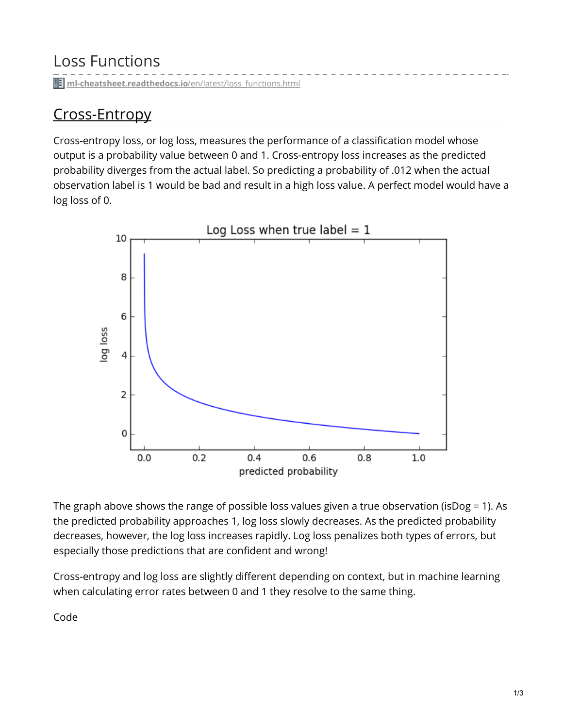Loss Functions

**ii** [ml-cheatsheet.readthedocs.io](https://ml-cheatsheet.readthedocs.io/en/latest/loss_functions.html)/en/latest/loss\_functions.html

### Cross-Entropy

Cross-entropy loss, or log loss, measures the performance of a classification model whose output is a probability value between 0 and 1. Cross-entropy loss increases as the predicted probability diverges from the actual label. So predicting a probability of .012 when the actual observation label is 1 would be bad and result in a high loss value. A perfect model would have a log loss of 0.



The graph above shows the range of possible loss values given a true observation (isDog = 1). As the predicted probability approaches 1, log loss slowly decreases. As the predicted probability decreases, however, the log loss increases rapidly. Log loss penalizes both types of errors, but especially those predictions that are confident and wrong!

Cross-entropy and log loss are slightly different depending on context, but in machine learning when calculating error rates between 0 and 1 they resolve to the same thing.

Code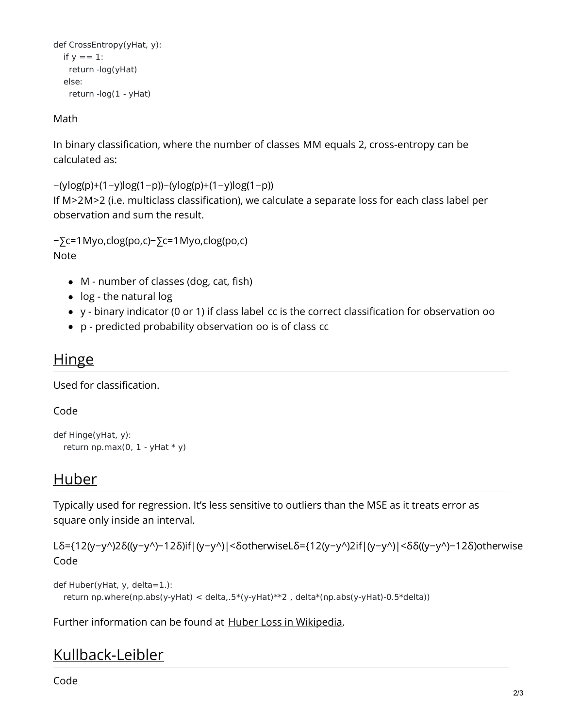```
def CrossEntropy(yHat, y):
  if y == 1:
   return -log(yHat)
  else:
   return -log(1 - yHat)
```
Math

In binary classification, where the number of classes MM equals 2, cross-entropy can be calculated as:

```
−(ylog(p)+(1−y)log(1−p))−(ylog(p)+(1−y)log(1−p))
If M>2M>2 (i.e. multiclass classification), we calculate a separate loss for each class label per
observation and sum the result.
```

```
−∑c=1Myo,clog(po,c)−∑c=1Myo,clog(po,c)
Note
```
- M number of classes (dog, cat, fish)
- log the natural log
- y binary indicator (0 or 1) if class label cc is the correct classification for observation oo
- p predicted probability observation oo is of class cc

#### **Hinge**

Used for classification.

Code

```
def Hinge(yHat, y):
  return np.max(0, 1 - yHat * y)
```
#### Huber

Typically used for regression. It's less sensitive to outliers than the MSE as it treats error as square only inside an interval.

```
Lδ={12(y−y^)2δ((y−y^)−12δ)if|(y−y^)|<δotherwiseLδ={12(y−y^)2if|(y−y^)|<δδ((y−y^)−12δ)otherwise
Code
```

```
def Huber(yHat, y, delta=1.):
  return np.where(np.abs(y-yHat) < delta,.5*(y-yHat)**2 , delta*(np.abs(y-yHat)-0.5*delta))
```
Further information can be found at Huber Loss in [Wikipedia](https://en.wikipedia.org/wiki/Huber_loss).

## Kullback-Leibler

Code